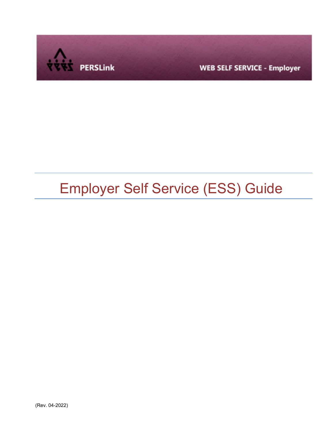

**WEB SELF SERVICE - Employer** 

# Employer Self Service (ESS) Guide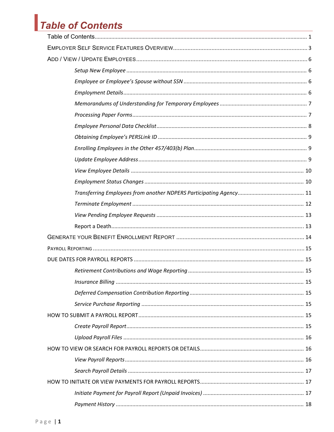# Table of Contents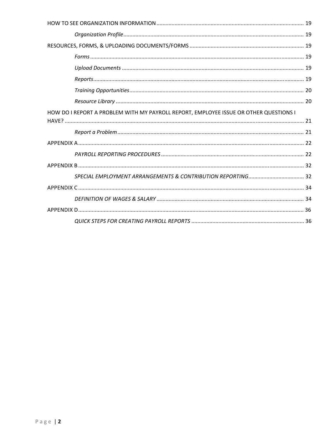| HOW DO I REPORT A PROBLEM WITH MY PAYROLL REPORT, EMPLOYEE ISSUE OR OTHER QUESTIONS I |  |
|---------------------------------------------------------------------------------------|--|
|                                                                                       |  |
|                                                                                       |  |
|                                                                                       |  |
|                                                                                       |  |
|                                                                                       |  |
|                                                                                       |  |
|                                                                                       |  |
|                                                                                       |  |
|                                                                                       |  |
|                                                                                       |  |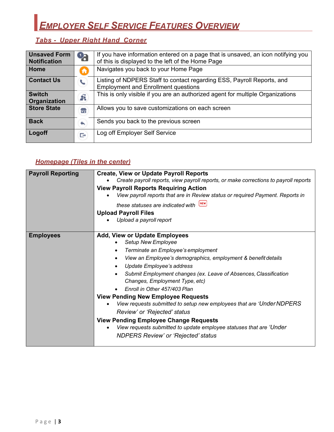# *EMPLOYER SELF SERVICE FEATURES OVERVIEW*

## *Tabs - Upper Right Hand Corner*

| <b>Unsaved Form</b><br><b>Notification</b> | $\mathbf{Q}_\mathbf{d}$ | If you have information entered on a page that is unsaved, an icon notifying you<br>of this is displayed to the left of the Home Page |
|--------------------------------------------|-------------------------|---------------------------------------------------------------------------------------------------------------------------------------|
| Home                                       | A                       | Navigates you back to your Home Page                                                                                                  |
| <b>Contact Us</b>                          |                         | Listing of NDPERS Staff to contact regarding ESS, Payroll Reports, and<br><b>Employment and Enrollment questions</b>                  |
| <b>Switch</b><br>Organization              | Ã                       | This is only visible if you are an authorized agent for multiple Organizations                                                        |
| <b>Store State</b>                         | Ħ                       | Allows you to save customizations on each screen                                                                                      |
| <b>Back</b>                                | €                       | Sends you back to the previous screen                                                                                                 |
| Logoff                                     | G                       | Log off Employer Self Service                                                                                                         |

## *Homepage (Tiles in the center)*

| <b>Payroll Reporting</b> | <b>Create, View or Update Payroll Reports</b>                                        |
|--------------------------|--------------------------------------------------------------------------------------|
|                          | Create payroll reports, view payroll reports, or make corrections to payroll reports |
|                          | <b>View Payroll Reports Requiring Action</b>                                         |
|                          | View payroll reports that are in Review status or required Payment. Reports in       |
|                          | these statuses are indicated with NEW                                                |
|                          | <b>Upload Payroll Files</b>                                                          |
|                          | Upload a payroll report                                                              |
|                          |                                                                                      |
| <b>Employees</b>         | <b>Add, View or Update Employees</b>                                                 |
|                          | Setup New Employee                                                                   |
|                          | Terminate an Employee's employment<br>$\bullet$                                      |
|                          | View an Employee's demographics, employment & benefit details<br>$\bullet$           |
|                          | Update Employee's address                                                            |
|                          | Submit Employment changes (ex. Leave of Absences, Classification                     |
|                          | Changes, Employment Type, etc)                                                       |
|                          | Enroll in Other 457/403 Plan                                                         |
|                          | <b>View Pending New Employee Requests</b>                                            |
|                          | View requests submitted to setup new employees that are 'Under NDPERS                |
|                          | Review' or 'Rejected' status                                                         |
|                          | <b>View Pending Employee Change Requests</b>                                         |
|                          | View requests submitted to update employee statuses that are 'Under'                 |
|                          | <b>NDPERS Review' or 'Rejected' status</b>                                           |
|                          |                                                                                      |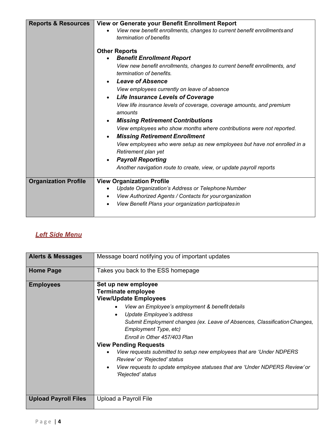| <b>Reports &amp; Resources</b> | View or Generate your Benefit Enrollment Report                           |  |
|--------------------------------|---------------------------------------------------------------------------|--|
|                                | View new benefit enrollments, changes to current benefit enrollments and  |  |
|                                | termination of benefits                                                   |  |
|                                |                                                                           |  |
|                                | <b>Other Reports</b>                                                      |  |
|                                | <b>Benefit Enrollment Report</b>                                          |  |
|                                | View new benefit enrollments, changes to current benefit enrollments, and |  |
|                                | termination of benefits.                                                  |  |
|                                | <b>Leave of Absence</b><br>$\bullet$                                      |  |
|                                | View employees currently on leave of absence                              |  |
|                                | <b>Life Insurance Levels of Coverage</b><br>$\bullet$                     |  |
|                                | View life insurance levels of coverage, coverage amounts, and premium     |  |
|                                | amounts                                                                   |  |
|                                | <b>Missing Retirement Contributions</b><br>$\bullet$                      |  |
|                                | View employees who show months where contributions were not reported.     |  |
|                                | <b>Missing Retirement Enrollment</b>                                      |  |
|                                | View employees who were setup as new employees but have not enrolled in a |  |
|                                | Retirement plan yet                                                       |  |
|                                | <b>Payroll Reporting</b><br>$\bullet$                                     |  |
|                                | Another navigation route to create, view, or update payroll reports       |  |
|                                |                                                                           |  |
| <b>Organization Profile</b>    | <b>View Organization Profile</b>                                          |  |
|                                | Update Organization's Address or Telephone Number<br>$\bullet$            |  |
|                                | View Authorized Agents / Contacts for your organization<br>$\bullet$      |  |
|                                | View Benefit Plans your organization participates in<br>$\bullet$         |  |
|                                |                                                                           |  |
|                                |                                                                           |  |

## *Left Side Menu*

| <b>Alerts &amp; Messages</b> | Message board notifying you of important updates                                                                                                                                                                                                                                                                                                                                                                                                                                                                                                                 |
|------------------------------|------------------------------------------------------------------------------------------------------------------------------------------------------------------------------------------------------------------------------------------------------------------------------------------------------------------------------------------------------------------------------------------------------------------------------------------------------------------------------------------------------------------------------------------------------------------|
| <b>Home Page</b>             | Takes you back to the ESS homepage                                                                                                                                                                                                                                                                                                                                                                                                                                                                                                                               |
| <b>Employees</b>             | Set up new employee<br><b>Terminate employee</b><br><b>View/Update Employees</b><br>View an Employee's employment & benefit details<br>Update Employee's address<br>Submit Employment changes (ex. Leave of Absences, Classification Changes,<br>Employment Type, etc)<br>Enroll in Other 457/403 Plan<br><b>View Pending Requests</b><br>View requests submitted to setup new employees that are 'Under NDPERS<br>Review' or 'Rejected' status<br>View requests to update employee statuses that are 'Under NDPERS Review' or<br>$\bullet$<br>'Rejected' status |
|                              |                                                                                                                                                                                                                                                                                                                                                                                                                                                                                                                                                                  |
| <b>Upload Payroll Files</b>  | Upload a Payroll File                                                                                                                                                                                                                                                                                                                                                                                                                                                                                                                                            |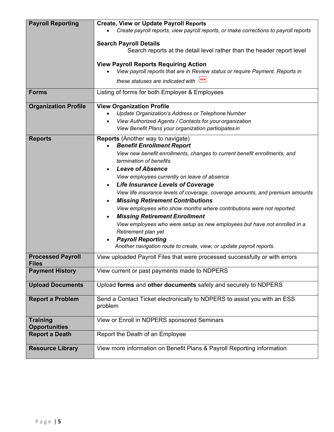| <b>Payroll Reporting</b>                 | <b>Create, View or Update Payroll Reports</b>                                                         |  |
|------------------------------------------|-------------------------------------------------------------------------------------------------------|--|
|                                          | Create payroll reports, view payroll reports, or make corrections to payroll reports                  |  |
|                                          | <b>Search Payroll Details</b>                                                                         |  |
|                                          | Search reports at the detail level rather than the header report level                                |  |
|                                          |                                                                                                       |  |
|                                          | <b>View Payroll Reports Requiring Action</b>                                                          |  |
|                                          | View payroll reports that are in Review status or require Payment. Reports in<br>NEW                  |  |
|                                          | these statuses are indicated with                                                                     |  |
| <b>Forms</b>                             | Listing of forms for both Employer & Employees                                                        |  |
| <b>Organization Profile</b>              | <b>View Organization Profile</b>                                                                      |  |
|                                          | Update Organization's Address or Telephone Number                                                     |  |
|                                          | View Authorized Agents / Contacts for your organization                                               |  |
|                                          | View Benefit Plans your organization participates in                                                  |  |
| <b>Reports</b>                           | <b>Reports</b> (Another way to navigate)                                                              |  |
|                                          | <b>Benefit Enrollment Report</b>                                                                      |  |
|                                          | View new benefit enrollments, changes to current benefit enrollments, and<br>termination of benefits. |  |
|                                          | <b>Leave of Absence</b>                                                                               |  |
|                                          | View employees currently on leave of absence                                                          |  |
|                                          | <b>Life Insurance Levels of Coverage</b>                                                              |  |
|                                          | View life insurance levels of coverage, coverage amounts, and premium amounts                         |  |
|                                          | <b>Missing Retirement Contributions</b>                                                               |  |
|                                          | View employees who show months where contributions were not reported.                                 |  |
|                                          | <b>Missing Retirement Enrollment</b>                                                                  |  |
|                                          | View employees who were setup as new employees but have not enrolled in a                             |  |
|                                          | Retirement plan yet                                                                                   |  |
|                                          | <b>Payroll Reporting</b>                                                                              |  |
|                                          | Another navigation route to create, view, or update payroll reports.                                  |  |
| <b>Processed Payroll</b><br><b>Files</b> | View uploaded Payroll Files that were processed successfully or with errors                           |  |
| <b>Payment History</b>                   | View current or past payments made to NDPERS                                                          |  |
| <b>Upload Documents</b>                  | Upload forms and other documents safely and securely to NDPERS                                        |  |
| <b>Report a Problem</b>                  | Send a Contact Ticket electronically to NDPERS to assist you with an ESS                              |  |
|                                          | problem                                                                                               |  |
| <b>Training</b>                          |                                                                                                       |  |
| <b>Opportunities</b>                     | View or Enroll in NDPERS sponsored Seminars                                                           |  |
| <b>Report a Death</b>                    | Report the Death of an Employee                                                                       |  |
|                                          |                                                                                                       |  |
| <b>Resource Library</b>                  | View more information on Benefit Plans & Payroll Reporting information                                |  |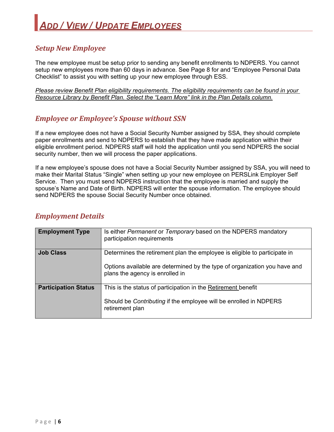## *Setup New Employee*

The new employee must be setup prior to sending any benefit enrollments to NDPERS. You cannot setup new employees more than 60 days in advance. See Page 8 for and "Employee Personal Data Checklist" to assist you with setting up your new employee through ESS.

*Please review Benefit Plan eligibility requirements. The eligibility requirements can be found in your Resource Library by Benefit Plan. Select the "Learn More" link in the Plan Details column.* 

## *Employee or Employee's Spouse without SSN*

If a new employee does not have a Social Security Number assigned by SSA, they should complete paper enrollments and send to NDPERS to establish that they have made application within their eligible enrollment period. NDPERS staff will hold the application until you send NDPERS the social security number, then we will process the paper applications.

If a new employee's spouse does not have a Social Security Number assigned by SSA, you will need to make their Marital Status "Single" when setting up your new employee on PERSLink Employer Self Service. Then you must send NDPERS instruction that the employee is married and supply the spouse's Name and Date of Birth. NDPERS will enter the spouse information. The employee should send NDPERS the spouse Social Security Number once obtained.

| <b>Employment Details</b> |  |
|---------------------------|--|
|---------------------------|--|

| <b>Employment Type</b>      | Is either Permanent or Temporary based on the NDPERS mandatory<br>participation requirements                                                                                              |
|-----------------------------|-------------------------------------------------------------------------------------------------------------------------------------------------------------------------------------------|
| Job Class                   | Determines the retirement plan the employee is eligible to participate in<br>Options available are determined by the type of organization you have and<br>plans the agency is enrolled in |
| <b>Participation Status</b> | This is the status of participation in the Retirement benefit<br>Should be Contributing if the employee will be enrolled in NDPERS<br>retirement plan                                     |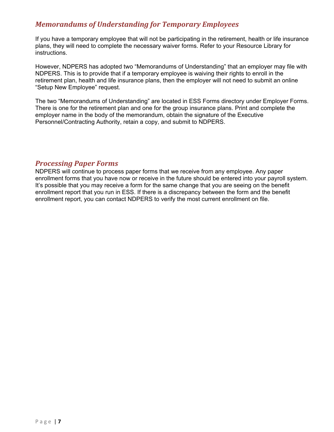## *Memorandums of Understanding for Temporary Employees*

If you have a temporary employee that will not be participating in the retirement, health or life insurance plans, they will need to complete the necessary waiver forms. Refer to your Resource Library for instructions.

However, NDPERS has adopted two "Memorandums of Understanding" that an employer may file with NDPERS. This is to provide that if a temporary employee is waiving their rights to enroll in the retirement plan, health and life insurance plans, then the employer will not need to submit an online "Setup New Employee" request.

The two "Memorandums of Understanding" are located in ESS Forms directory under Employer Forms. There is one for the retirement plan and one for the group insurance plans. Print and complete the employer name in the body of the memorandum, obtain the signature of the Executive Personnel/Contracting Authority, retain a copy, and submit to NDPERS.

### *Processing Paper Forms*

NDPERS will continue to process paper forms that we receive from any employee. Any paper enrollment forms that you have now or receive in the future should be entered into your payroll system. It's possible that you may receive a form for the same change that you are seeing on the benefit enrollment report that you run in ESS. If there is a discrepancy between the form and the benefit enrollment report, you can contact NDPERS to verify the most current enrollment on file.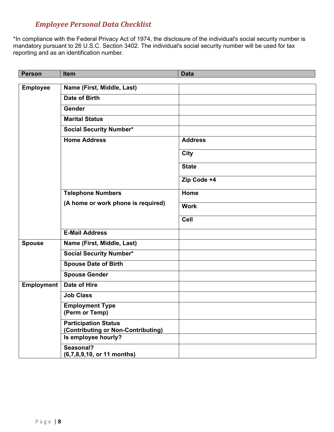## *Employee Personal Data Checklist*

\*In compliance with the Federal Privacy Act of 1974, the disclosure of the individual's social security number is mandatory pursuant to 26 U.S.C. Section 3402. The individual's social security number will be used for tax reporting and as an identification number.

| <b>Person</b>     | <b>Item</b>                                                       | <b>Data</b>    |
|-------------------|-------------------------------------------------------------------|----------------|
| <b>Employee</b>   | Name (First, Middle, Last)                                        |                |
|                   | Date of Birth                                                     |                |
|                   |                                                                   |                |
|                   | Gender                                                            |                |
|                   | <b>Marital Status</b>                                             |                |
|                   | <b>Social Security Number*</b>                                    |                |
|                   | <b>Home Address</b>                                               | <b>Address</b> |
|                   |                                                                   | <b>City</b>    |
|                   |                                                                   | <b>State</b>   |
|                   |                                                                   | Zip Code +4    |
|                   | <b>Telephone Numbers</b>                                          | Home           |
|                   | (A home or work phone is required)                                | <b>Work</b>    |
|                   |                                                                   | Cell           |
|                   | <b>E-Mail Address</b>                                             |                |
| <b>Spouse</b>     | Name (First, Middle, Last)                                        |                |
|                   | <b>Social Security Number*</b>                                    |                |
|                   | <b>Spouse Date of Birth</b>                                       |                |
|                   | <b>Spouse Gender</b>                                              |                |
| <b>Employment</b> | <b>Date of Hire</b>                                               |                |
|                   | <b>Job Class</b>                                                  |                |
|                   | <b>Employment Type</b><br>(Perm or Temp)                          |                |
|                   | <b>Participation Status</b><br>(Contributing or Non-Contributing) |                |
|                   | Is employee hourly?                                               |                |
|                   | Seasonal?<br>(6,7,8,9,10, or 11 months)                           |                |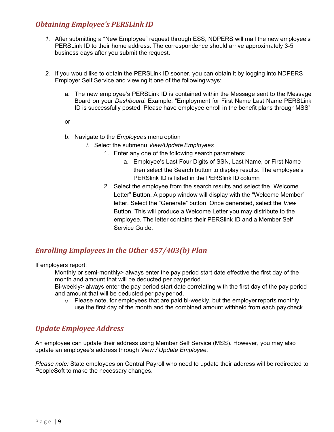## *Obtaining Employee's PERSLink ID*

- *1.* After submitting a "New Employee" request through ESS, NDPERS will mail the new employee's PERSLink ID to their home address. The correspondence should arrive approximately 3-5 business days after you submit the request.
- *2.* If you would like to obtain the PERSLink ID sooner, you can obtain it by logging into NDPERS Employer Self Service and viewing it one of the following ways:
	- a. The new employee's PERSLink ID is contained within the Message sent to the Message Board on your *Dashboard.* Example: "Employment for First Name Last Name PERSLink ID is successfully posted. Please have employee enroll in the benefit plans through MSS"

or

- b. Navigate to the *Employees* menu option
	- *i.* Select the submenu *View/Update Employees* 
		- 1. Enter any one of the following search parameters:
			- a. Employee's Last Four Digits of SSN, Last Name, or First Name then select the Search button to display results. The employee's PERSlink ID is listed in the PERSlink ID column
		- 2. Select the employee from the search results and select the "Welcome Letter" Button. A popup window will display with the "Welcome Member" letter. Select the "Generate" button. Once generated, select the *View*  Button. This will produce a Welcome Letter you may distribute to the employee. The letter contains their PERSlink ID and a Member Self Service Guide.

## *Enrolling Employees in the Other 457/403(b) Plan*

If employers report:

 Monthly or semi-monthly> always enter the pay period start date effective the first day of the month and amount that will be deducted per pay period.

 Bi-weekly> always enter the pay period start date correlating with the first day of the pay period and amount that will be deducted per pay period.

 $\circ$  Please note, for employees that are paid bi-weekly, but the employer reports monthly, use the first day of the month and the combined amount withheld from each pay check.

## *Update Employee Address*

An employee can update their address using Member Self Service (MSS). However, you may also update an employee's address through *View / Update Employee*.

*Please note:* State employees on Central Payroll who need to update their address will be redirected to PeopleSoft to make the necessary changes.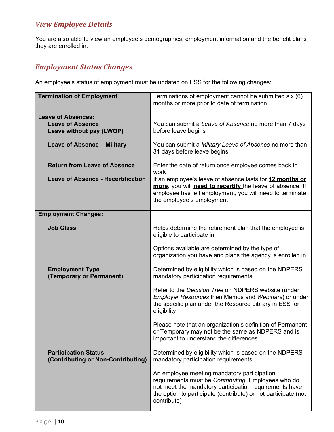## *View Employee Details*

You are also able to view an employee's demographics, employment information and the benefit plans they are enrolled in.

## *Employment Status Changes*

An employee's status of employment must be updated on ESS for the following changes:

| <b>Termination of Employment</b>                                  | Terminations of employment cannot be submitted six (6)<br>months or more prior to date of termination                                                                                                                                         |
|-------------------------------------------------------------------|-----------------------------------------------------------------------------------------------------------------------------------------------------------------------------------------------------------------------------------------------|
| <b>Leave of Absences:</b><br><b>Leave of Absence</b>              | You can submit a Leave of Absence no more than 7 days                                                                                                                                                                                         |
| Leave without pay (LWOP)                                          | before leave begins                                                                                                                                                                                                                           |
| <b>Leave of Absence - Military</b>                                | You can submit a Military Leave of Absence no more than<br>31 days before leave begins                                                                                                                                                        |
| <b>Return from Leave of Absence</b>                               | Enter the date of return once employee comes back to<br>work                                                                                                                                                                                  |
| <b>Leave of Absence - Recertification</b>                         | If an employee's leave of absence lasts for 12 months or<br>more, you will need to recertify the leave of absence. If<br>employee has left employment, you will need to terminate<br>the employee's employment                                |
| <b>Employment Changes:</b>                                        |                                                                                                                                                                                                                                               |
| <b>Job Class</b>                                                  | Helps determine the retirement plan that the employee is<br>eligible to participate in                                                                                                                                                        |
|                                                                   | Options available are determined by the type of<br>organization you have and plans the agency is enrolled in                                                                                                                                  |
| <b>Employment Type</b><br>(Temporary or Permanent)                | Determined by eligibility which is based on the NDPERS<br>mandatory participation requirements                                                                                                                                                |
|                                                                   | Refer to the Decision Tree on NDPERS website (under<br>Employer Resources then Memos and Webinars) or under<br>the specific plan under the Resource Library in ESS for<br>eligibility                                                         |
|                                                                   | Please note that an organization's definition of Permanent<br>or Temporary may not be the same as NDPERS and is<br>important to understand the differences.                                                                                   |
| <b>Participation Status</b><br>(Contributing or Non-Contributing) | Determined by eligibility which is based on the NDPERS<br>mandatory participation requirements.                                                                                                                                               |
|                                                                   | An employee meeting mandatory participation<br>requirements must be Contributing. Employees who do<br>not meet the mandatory participation requirements have<br>the option to participate (contribute) or not participate (not<br>contribute) |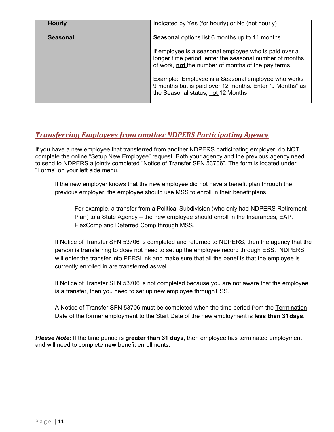| <b>Hourly</b>   | Indicated by Yes (for hourly) or No (not hourly)                                                                                                                               |
|-----------------|--------------------------------------------------------------------------------------------------------------------------------------------------------------------------------|
| <b>Seasonal</b> | <b>Seasonal</b> options list 6 months up to 11 months                                                                                                                          |
|                 | If employee is a seasonal employee who is paid over a<br>longer time period, enter the seasonal number of months<br>of work, <b>not</b> the number of months of the pay terms. |
|                 | Example: Employee is a Seasonal employee who works<br>9 months but is paid over 12 months. Enter "9 Months" as<br>the Seasonal status, not 12 Months                           |

## *Transferring Employees from another NDPERS Participating Agency*

If you have a new employee that transferred from another NDPERS participating employer, do NOT complete the online "Setup New Employee" request. Both your agency and the previous agency need to send to NDPERS a jointly completed "Notice of Transfer SFN 53706". The form is located under "Forms" on your left side menu.

 If the new employer knows that the new employee did not have a benefit plan through the previous employer, the employee should use MSS to enroll in their benefit plans.

For example, a transfer from a Political Subdivision (who only had NDPERS Retirement Plan) to a State Agency – the new employee should enroll in the Insurances, EAP, FlexComp and Deferred Comp through MSS.

 If Notice of Transfer SFN 53706 is completed and returned to NDPERS, then the agency that the person is transferring to does not need to set up the employee record through ESS. NDPERS will enter the transfer into PERSLink and make sure that all the benefits that the employee is currently enrolled in are transferred as well.

 If Notice of Transfer SFN 53706 is not completed because you are not aware that the employee is a transfer, then you need to set up new employee through ESS.

 A Notice of Transfer SFN 53706 must be completed when the time period from the Termination Date of the former employment to the Start Date of the new employment is **less than 31 days**.

*Please Note:* If the time period is **greater than 31 days**, then employee has terminated employment and will need to complete **new** benefit enrollments.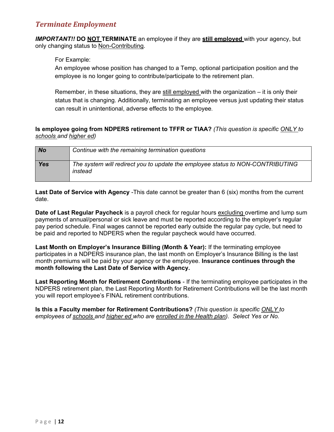## *Terminate Employment*

**IMPORTANT!! DO NOT TERMINATE** an employee if they are **still employed** with your agency, but only changing status to Non-Contributing.

For Example:

An employee whose position has changed to a Temp, optional participation position and the employee is no longer going to contribute/participate to the retirement plan.

Remember, in these situations, they are still employed with the organization – it is only their status that is changing. Additionally, terminating an employee versus just updating their status can result in unintentional, adverse effects to the employee*.* 

#### **Is employee going from NDPERS retirement to TFFR or TIAA?** *(This question is specific ONLY to schools and higher ed)*

| <b>No</b>  | Continue with the remaining termination questions                                         |
|------------|-------------------------------------------------------------------------------------------|
| <b>Yes</b> | The system will redirect you to update the employee status to NON-CONTRIBUTING<br>instead |

**Last Date of Service with Agency** -This date cannot be greater than 6 (six) months from the current date.

**Date of Last Regular Paycheck** is a payroll check for regular hours excluding overtime and lump sum payments of annual/personal or sick leave and must be reported according to the employer's regular pay period schedule. Final wages cannot be reported early outside the regular pay cycle, but need to be paid and reported to NDPERS when the regular paycheck would have occurred.

**Last Month on Employer's Insurance Billing (Month & Year):** If the terminating employee participates in a NDPERS insurance plan, the last month on Employer's Insurance Billing is the last month premiums will be paid by your agency or the employee. **Insurance continues through the month following the Last Date of Service with Agency.** 

**Last Reporting Month for Retirement Contributions** - If the terminating employee participates in the NDPERS retirement plan, the Last Reporting Month for Retirement Contributions will be the last month you will report employee's FINAL retirement contributions.

**Is this a Faculty member for Retirement Contributions?** *(This question is specific ONLY to employees of schools and higher ed who are enrolled in the Health plan). Select Yes or No.*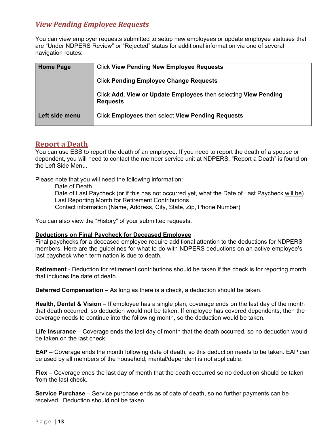## *View Pending Employee Requests*

You can view employer requests submitted to setup new employees or update employee statuses that are "Under NDPERS Review" or "Rejected" status for additional information via one of several navigation routes:

| <b>Home Page</b> | <b>Click View Pending New Employee Requests</b>                                    |
|------------------|------------------------------------------------------------------------------------|
|                  | <b>Click Pending Employee Change Requests</b>                                      |
|                  | Click Add, View or Update Employees then selecting View Pending<br><b>Requests</b> |
| Left side menu   | Click Employees then select View Pending Requests                                  |

### **Report a Death**

You can use ESS to report the death of an employee. If you need to report the death of a spouse or dependent, you will need to contact the member service unit at NDPERS. "Report a Death" is found on the Left Side Menu.

Please note that you will need the following information:

Date of Death Date of Last Paycheck (or if this has not occurred yet, what the Date of Last Paycheck will be) Last Reporting Month for Retirement Contributions Contact information (Name, Address, City, State, Zip, Phone Number)

You can also view the "History" of your submitted requests.

#### **Deductions on Final Paycheck for Deceased Employee**

Final paychecks for a deceased employee require additional attention to the deductions for NDPERS members. Here are the guidelines for what to do with NDPERS deductions on an active employee's last paycheck when termination is due to death.

**Retirement** - Deduction for retirement contributions should be taken if the check is for reporting month that includes the date of death.

**Deferred Compensation** – As long as there is a check, a deduction should be taken.

**Health, Dental & Vision** – If employee has a single plan, coverage ends on the last day of the month that death occurred, so deduction would not be taken. If employee has covered dependents, then the coverage needs to continue into the following month, so the deduction would be taken.

**Life Insurance** – Coverage ends the last day of month that the death occurred, so no deduction would be taken on the last check.

**EAP** – Coverage ends the month following date of death, so this deduction needs to be taken. EAP can be used by all members of the household; marital/dependent is not applicable.

**Flex** – Coverage ends the last day of month that the death occurred so no deduction should be taken from the last check.

**Service Purchase** – Service purchase ends as of date of death, so no further payments can be received. Deduction should not be taken.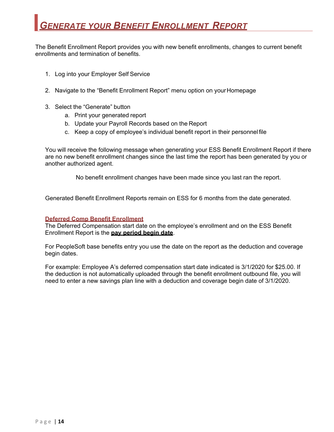The Benefit Enrollment Report provides you with new benefit enrollments, changes to current benefit enrollments and termination of benefits.

- 1. Log into your Employer Self Service
- 2. Navigate to the "Benefit Enrollment Report" menu option on your Homepage
- 3. Select the "Generate" button
	- a. Print your generated report
	- b. Update your Payroll Records based on the Report
	- c. Keep a copy of employee's individual benefit report in their personnel file

You will receive the following message when generating your ESS Benefit Enrollment Report if there are no new benefit enrollment changes since the last time the report has been generated by you or another authorized agent.

No benefit enrollment changes have been made since you last ran the report.

Generated Benefit Enrollment Reports remain on ESS for 6 months from the date generated.

#### **Deferred Comp Benefit Enrollment**

The Deferred Compensation start date on the employee's enrollment and on the ESS Benefit Enrollment Report is the **pay period begin date**.

For PeopleSoft base benefits entry you use the date on the report as the deduction and coverage begin dates.

For example: Employee A's deferred compensation start date indicated is 3/1/2020 for \$25.00. If the deduction is not automatically uploaded through the benefit enrollment outbound file, you will need to enter a new savings plan line with a deduction and coverage begin date of 3/1/2020.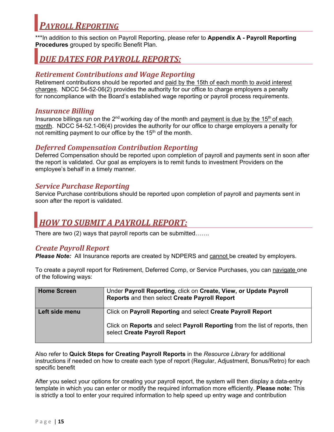## *PAYROLL REPORTING*

\*\*\*In addition to this section on Payroll Reporting, please refer to **Appendix A - Payroll Reporting Procedures** grouped by specific Benefit Plan.

## *DUE DATES FOR PAYROLL REPORTS:*

## *Retirement Contributions and Wage Reporting*

Retirement contributions should be reported and paid by the 15th of each month to avoid interest charges. NDCC 54-52-06(2) provides the authority for our office to charge employers a penalty for noncompliance with the Board's established wage reporting or payroll process requirements.

## *Insurance Billing*

Insurance billings run on the  $2<sup>nd</sup>$  working day of the month and payment is due by the 15<sup>th</sup> of each month. NDCC 54-52.1-06(4) provides the authority for our office to charge employers a penalty for not remitting payment to our office by the 15<sup>th</sup> of the month.

## *Deferred Compensation Contribution Reporting*

Deferred Compensation should be reported upon completion of payroll and payments sent in soon after the report is validated. Our goal as employers is to remit funds to investment Providers on the employee's behalf in a timely manner.

## *Service Purchase Reporting*

Service Purchase contributions should be reported upon completion of payroll and payments sent in soon after the report is validated.

## *HOW TO SUBMIT A PAYROLL REPORT:*

There are two (2) ways that payroll reports can be submitted…….

## *Create Payroll Report*

**Please Note:** All Insurance reports are created by NDPERS and cannot be created by employers.

To create a payroll report for Retirement, Deferred Comp, or Service Purchases, you can navigate one of the following ways:

| <b>Home Screen</b> | Under Payroll Reporting, click on Create, View, or Update Payroll<br>Reports and then select Create Payroll Report                                                          |
|--------------------|-----------------------------------------------------------------------------------------------------------------------------------------------------------------------------|
| Left side menu     | Click on Payroll Reporting and select Create Payroll Report<br>Click on Reports and select Payroll Reporting from the list of reports, then<br>select Create Payroll Report |

Also refer to **Quick Steps for Creating Payroll Reports** in the *Resource Library* for additional instructions if needed on how to create each type of report (Regular, Adjustment, Bonus/Retro) for each specific benefit

After you select your options for creating your payroll report, the system will then display a data-entry template in which you can enter or modify the required information more efficiently. **Please note:** This is strictly a tool to enter your required information to help speed up entry wage and contribution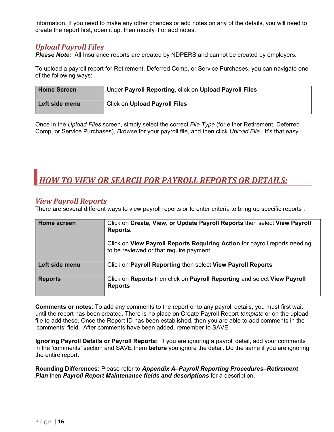information. If you need to make any other changes or add notes on any of the details, you will need to create the report first, open it up, then modify it or add notes.

## *Upload Payroll Files*

**Please Note:** All Insurance reports are created by NDPERS and cannot be created by employers.

To upload a payroll report for Retirement, Deferred Comp, or Service Purchases, you can navigate one of the following ways:

| <b>Home Screen</b> | Under Payroll Reporting, click on Upload Payroll Files |
|--------------------|--------------------------------------------------------|
| Left side menu     | <b>Click on Upload Payroll Files</b>                   |

Once in the *Upload Files* screen, simply select the correct *File Type* (for either Retirement, Deferred Comp, or Service Purchases), *Browse* for your payroll file, and then click *Upload File*. It's that easy.

# *HOW TO VIEW OR SEARCH FOR PAYROLL REPORTS OR DETAILS:*

### *View Payroll Reports*

There are several different ways to view payroll reports or to enter criteria to bring up specific reports :

| Home screen    | Click on Create, View, or Update Payroll Reports then select View Payroll<br>Reports.                                 |
|----------------|-----------------------------------------------------------------------------------------------------------------------|
|                | Click on View Payroll Reports Requiring Action for payroll reports needing<br>to be reviewed or that require payment. |
| Left side menu | Click on Payroll Reporting then select View Payroll Reports                                                           |
| <b>Reports</b> | Click on Reports then click on Payroll Reporting and select View Payroll<br><b>Reports</b>                            |

**Comments or notes**: To add any comments to the report or to any payroll details, you must first wait until the report has been created. There is no place on Create Payroll Report *template* or on the upload file to add these. Once the Report ID has been established, then you are able to add comments in the 'comments' field. After comments have been added, remember to SAVE.

**Ignoring Payroll Details or Payroll Reports:** If you are ignoring a payroll detail, add your comments in the 'comments' section and SAVE them **before** you ignore the detail. Do the same if you are ignoring the entire report.

**Rounding Differences:** Please refer to *Appendix A–Payroll Reporting Procedures–Retirement Plan* then *Payroll Report Maintenance fields and descriptions* for a description.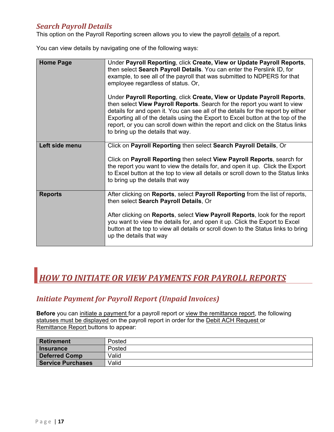## *Search Payroll Details*

This option on the Payroll Reporting screen allows you to view the payroll details of a report.

You can view details by navigating one of the following ways:

| <b>Home Page</b> | Under Payroll Reporting, click Create, View or Update Payroll Reports,<br>then select Search Payroll Details. You can enter the Perslink ID, for<br>example, to see all of the payroll that was submitted to NDPERS for that<br>employee regardless of status. Or,                                                                                                                                                                               |
|------------------|--------------------------------------------------------------------------------------------------------------------------------------------------------------------------------------------------------------------------------------------------------------------------------------------------------------------------------------------------------------------------------------------------------------------------------------------------|
|                  | Under Payroll Reporting, click Create, View or Update Payroll Reports,<br>then select View Payroll Reports. Search for the report you want to view<br>details for and open it. You can see all of the details for the report by either<br>Exporting all of the details using the Export to Excel button at the top of the<br>report, or you can scroll down within the report and click on the Status links<br>to bring up the details that way. |
| Left side menu   | Click on Payroll Reporting then select Search Payroll Details, Or                                                                                                                                                                                                                                                                                                                                                                                |
|                  | Click on Payroll Reporting then select View Payroll Reports, search for<br>the report you want to view the details for, and open it up. Click the Export<br>to Excel button at the top to view all details or scroll down to the Status links<br>to bring up the details that way                                                                                                                                                                |
| <b>Reports</b>   | After clicking on <b>Reports</b> , select <b>Payroll Reporting</b> from the list of reports,<br>then select Search Payroll Details, Or                                                                                                                                                                                                                                                                                                           |
|                  | After clicking on Reports, select View Payroll Reports, look for the report<br>you want to view the details for, and open it up. Click the Export to Excel<br>button at the top to view all details or scroll down to the Status links to bring<br>up the details that way                                                                                                                                                                       |

## *HOW TO INITIATE OR VIEW PAYMENTS FOR PAYROLL REPORTS*

## *Initiate Payment for Payroll Report (Unpaid Invoices)*

**Before** you can initiate a payment for a payroll report or view the remittance report, the following statuses must be displayed on the payroll report in order for the Debit ACH Request or Remittance Report buttons to appear:

| <b>Retirement</b>    | Posted |
|----------------------|--------|
| Insurance            | Posted |
| <b>Deferred Comp</b> | Valid  |
| Service Purchases    | Valid  |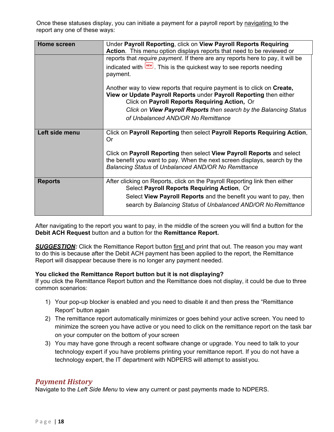Once these statuses display, you can initiate a payment for a payroll report by navigating to the report any one of these ways:

| <b>Home screen</b> | Under Payroll Reporting, click on View Payroll Reports Requiring               |
|--------------------|--------------------------------------------------------------------------------|
|                    | Action. This menu option displays reports that need to be reviewed or          |
|                    | reports that require payment. If there are any reports here to pay, it will be |
|                    | indicated with [NEW]. This is the quickest way to see reports needing          |
|                    | payment.                                                                       |
|                    | Another way to view reports that require payment is to click on Create,        |
|                    | View or Update Payroll Reports under Payroll Reporting then either             |
|                    | Click on Payroll Reports Requiring Action, Or                                  |
|                    | Click on View Payroll Reports then search by the Balancing Status              |
|                    | of Unbalanced AND/OR No Remittance                                             |
|                    |                                                                                |
| Left side menu     | Click on Payroll Reporting then select Payroll Reports Requiring Action,       |
|                    | <b>Or</b>                                                                      |
|                    | Click on Payroll Reporting then select View Payroll Reports and select         |
|                    | the benefit you want to pay. When the next screen displays, search by the      |
|                    | Balancing Status of Unbalanced AND/OR No Remittance                            |
|                    |                                                                                |
| <b>Reports</b>     | After clicking on Reports, click on the Payroll Reporting link then either     |
|                    | Select Payroll Reports Requiring Action, Or                                    |
|                    | Select View Payroll Reports and the benefit you want to pay, then              |
|                    | search by Balancing Status of Unbalanced AND/OR No Remittance                  |
|                    |                                                                                |

After navigating to the report you want to pay, in the middle of the screen you will find a button for the **Debit ACH Request** button and a button for the **Remittance Report.** 

**SUGGESTION:** Click the Remittance Report button first and print that out. The reason you may want to do this is because after the Debit ACH payment has been applied to the report, the Remittance Report will disappear because there is no longer any payment needed.

#### **You clicked the Remittance Report button but it is not displaying?**

If you click the Remittance Report button and the Remittance does not display, it could be due to three common scenarios:

- 1) Your pop-up blocker is enabled and you need to disable it and then press the "Remittance Report" button again
- 2) The remittance report automatically minimizes or goes behind your active screen. You need to minimize the screen you have active or you need to click on the remittance report on the task bar on your computer on the bottom of your screen
- 3) You may have gone through a recent software change or upgrade. You need to talk to your technology expert if you have problems printing your remittance report. If you do not have a technology expert, the IT department with NDPERS will attempt to assist you.

#### *Payment History*

Navigate to the *Left Side Menu* to view any current or past payments made to NDPERS.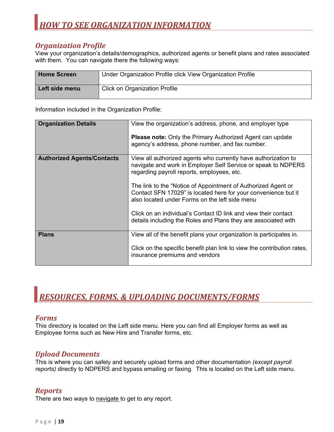## *Organization Profile*

View your organization's details/demographics, authorized agents or benefit plans and rates associated with them. You can navigate there the following ways:

| <b>Home Screen</b> | Under Organization Profile click View Organization Profile |
|--------------------|------------------------------------------------------------|
| Left side menu     | <b>Click on Organization Profile</b>                       |

Information included in the Organization Profile:

| <b>Organization Details</b>       | View the organization's address, phone, and employer type               |
|-----------------------------------|-------------------------------------------------------------------------|
|                                   |                                                                         |
|                                   | <b>Please note:</b> Only the Primary Authorized Agent can update        |
|                                   | agency's address, phone number, and fax number.                         |
|                                   |                                                                         |
| <b>Authorized Agents/Contacts</b> | View all authorized agents who currently have authorization to          |
|                                   | navigate and work in Employer Self Service or speak to NDPERS           |
|                                   | regarding payroll reports, employees, etc.                              |
|                                   |                                                                         |
|                                   | The link to the "Notice of Appointment of Authorized Agent or           |
|                                   | Contact SFN 17029" is located here for your convenience but it          |
|                                   | also located under Forms on the left side menu                          |
|                                   |                                                                         |
|                                   | Click on an individual's Contact ID link and view their contact         |
|                                   | details including the Roles and Plans they are associated with          |
|                                   |                                                                         |
| <b>Plans</b>                      | View all of the benefit plans your organization is participates in.     |
|                                   |                                                                         |
|                                   | Click on the specific benefit plan link to view the contribution rates, |
|                                   | insurance premiums and vendors                                          |
|                                   |                                                                         |

# *RESOURCES, FORMS, & UPLOADING DOCUMENTS/FORMS*

#### *Forms*

This directory is located on the Left side menu. Here you can find all Employer forms as well as Employee forms such as New Hire and Transfer forms, etc.

## *Upload Documents*

This is where you can safely and securely upload forms and other documentation *(except payroll reports)* directly to NDPERS and bypass emailing or faxing. This is located on the Left side menu.

## *Reports*

There are two ways to navigate to get to any report.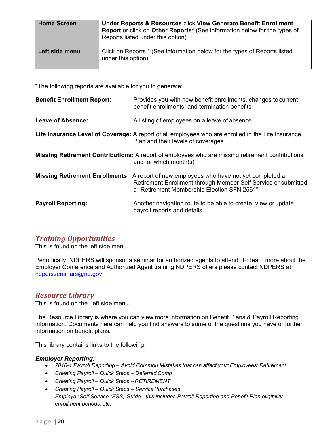| <b>Home Screen</b> | <b>Under Reports &amp; Resources click View Generate Benefit Enrollment</b><br>Report or click on Other Reports* (See information below for the types of<br>Reports listed under this option) |
|--------------------|-----------------------------------------------------------------------------------------------------------------------------------------------------------------------------------------------|
| Left side menu     | Click on Reports.* (See information below for the types of Reports listed<br>under this option)                                                                                               |

\*The following reports are available for you to generate:

| <b>Benefit Enrollment Report:</b> | Provides you with new benefit enrollments, changes to current<br>benefit enrollments, and termination benefits                                                                                                  |
|-----------------------------------|-----------------------------------------------------------------------------------------------------------------------------------------------------------------------------------------------------------------|
| Leave of Absence:                 | A listing of employees on a leave of absence                                                                                                                                                                    |
|                                   | Life Insurance Level of Coverage: A report of all employees who are enrolled in the Life Insurance<br>Plan and their levels of coverages                                                                        |
|                                   | <b>Missing Retirement Contributions:</b> A report of employees who are missing retirement contributions<br>and for which month(s)                                                                               |
|                                   | <b>Missing Retirement Enrollments:</b> A report of new employees who have not yet completed a<br>Retirement Enrollment through Member Self Service or submitted<br>a "Retirement Membership Election SFN 2561". |
| <b>Payroll Reporting:</b>         | Another navigation route to be able to create, view or update<br>payroll reports and details                                                                                                                    |

## *Training Opportunities*

This is found on the left side menu.

Periodically, NDPERS will sponsor a seminar for authorized agents to attend. To learn more about the Employer Conference and Authorized Agent training NDPERS offers please contact NDPERS at ndpersseminars@nd.gov

## *Resource Library*

This is found on the Left side menu.

The Resource Library is where you can view more information on Benefit Plans & Payroll Reporting information. Documents here can help you find answers to some of the questions you have or further information on benefit plans.

This library contains links to the following:

#### *Employer Reporting:*

- *2016-1 Payroll Reporting Avoid Common Mistakes that can affect your Employees' Retirement*
- *Creating Payroll Quick Steps Deferred Comp*
- *Creating Payroll Quick Steps RETIREMENT*
- *Creating Payroll Quick Steps Service Purchases Employer Self Service (ESS) Guide - this includes Payroll Reporting and Benefit Plan eligibility, enrollment periods, etc.*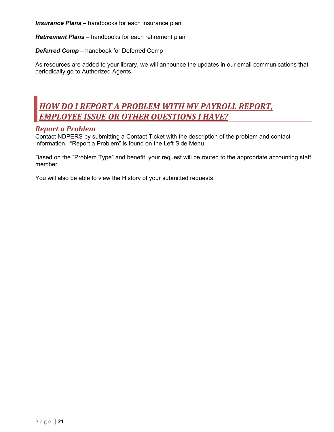*Insurance Plans* – handbooks for each insurance plan

*Retirement Plans* – handbooks for each retirement plan

*Deferred Comp* – handbook for Deferred Comp

As resources are added to your library, we will announce the updates in our email communications that periodically go to Authorized Agents.

## *HOW DO I REPORT A PROBLEM WITH MY PAYROLL REPORT, EMPLOYEE ISSUE OR OTHER QUESTIONS I HAVE?*

#### *Report a Problem*

Contact NDPERS by submitting a Contact Ticket with the description of the problem and contact information. "Report a Problem" is found on the Left Side Menu.

Based on the "Problem Type" and benefit, your request will be routed to the appropriate accounting staff member.

You will also be able to view the History of your submitted requests.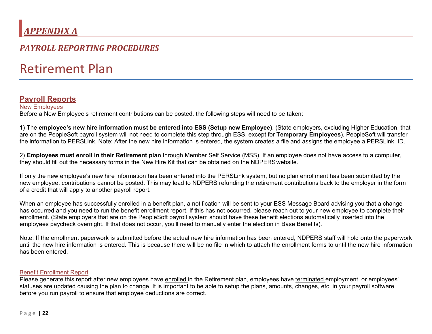# *APPENDIX A*

## *PAYROLL REPORTING PROCEDURES*

# Retirement Plan

## **Payroll Reports**

New Employees Before a New Employee's retirement contributions can be posted, the following steps will need to be taken:

1) The **employee's new hire information must be entered into ESS (Setup new Employee)**. (State employers, excluding Higher Education, that are on the PeopleSoft payroll system will not need to complete this step through ESS, except for **Temporary Employees**). PeopleSoft will transfer the information to PERSLink. Note: After the new hire information is entered, the system creates a file and assigns the employee a PERSLink ID.

2) **Employees must enroll in their Retirement plan** through Member Self Service (MSS). If an employee does not have access to a computer, they should fill out the necessary forms in the New Hire Kit that can be obtained on the NDPERS website.

If only the new employee's new hire information has been entered into the PERSLink system, but no plan enrollment has been submitted by the new employee, contributions cannot be posted. This may lead to NDPERS refunding the retirement contributions back to the employer in the form of a credit that will apply to another payroll report.

When an employee has successfully enrolled in a benefit plan, a notification will be sent to your ESS Message Board advising you that a change has occurred and you need to run the benefit enrollment report. If this has not occurred, please reach out to your new employee to complete their enrollment. (State employers that are on the PeopleSoft payroll system should have these benefit elections automatically inserted into the employees paycheck overnight. If that does not occur, you'll need to manually enter the election in Base Benefits).

Note: If the enrollment paperwork is submitted before the actual new hire information has been entered, NDPERS staff will hold onto the paperwork until the new hire information is entered. This is because there will be no file in which to attach the enrollment forms to until the new hire information has been entered.

#### Benefit Enrollment Report

Please generate this report after new employees have enrolled in the Retirement plan, employees have terminated employment, or employees' statuses are updated causing the plan to change. It is important to be able to setup the plans, amounts, changes, etc. in your payroll software before you run payroll to ensure that employee deductions are correct.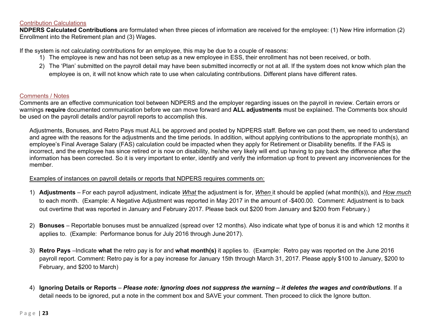#### Contribution Calculations

**NDPERS Calculated Contributions** are formulated when three pieces of information are received for the employee: (1) New Hire information (2) Enrollment into the Retirement plan and (3) Wages.

If the system is not calculating contributions for an employee, this may be due to a couple of reasons:

- 1) The employee is new and has not been setup as a new employee in ESS, their enrollment has not been received, or both.
- 2) The 'Plan' submitted on the payroll detail may have been submitted incorrectly or not at all. If the system does not know which plan the employee is on, it will not know which rate to use when calculating contributions. Different plans have different rates.

#### Comments / Notes

Comments are an effective communication tool between NDPERS and the employer regarding issues on the payroll in review. Certain errors or warnings **require** documented communication before we can move forward and **ALL adjustments** must be explained. The Comments box should be used on the payroll details and/or payroll reports to accomplish this.

Adjustments, Bonuses, and Retro Pays must ALL be approved and posted by NDPERS staff. Before we can post them, we need to understand and agree with the reasons for the adjustments and the time periods. In addition, without applying contributions to the appropriate month(s), an employee's Final Average Salary (FAS) calculation could be impacted when they apply for Retirement or Disability benefits. If the FAS is incorrect, and the employee has since retired or is now on disability, he/she very likely will end up having to pay back the difference after the information has been corrected. So it is very important to enter, identify and verify the information up front to prevent any inconveniences for the member.

#### Examples of instances on payroll details or reports that NDPERS requires comments on:

- 1) **Adjustments**  For each payroll adjustment, indicate *What* the adjustment is for, *When* it should be applied (what month(s)), and *How much*  to each month. (Example: A Negative Adjustment was reported in May 2017 in the amount of -\$400.00. Comment: Adjustment is to back out overtime that was reported in January and February 2017. Please back out \$200 from January and \$200 from February.)
- 2) **Bonuses**  Reportable bonuses must be annualized (spread over 12 months). Also indicate what type of bonus it is and which 12 months it applies to. (Example: Performance bonus for July 2016 through June 2017).
- 3) **Retro Pays** –Indicate **what** the retro pay is for and **what month(s)** it applies to. (Example: Retro pay was reported on the June 2016 payroll report. Comment: Retro pay is for a pay increase for January 15th through March 31, 2017. Please apply \$100 to January, \$200 to February, and \$200 to March)
- 4) **Ignoring Details or Reports**  *Please note: Ignoring does not suppress the warning it deletes the wages and contributions*. If a detail needs to be ignored, put a note in the comment box and SAVE your comment. Then proceed to click the Ignore button.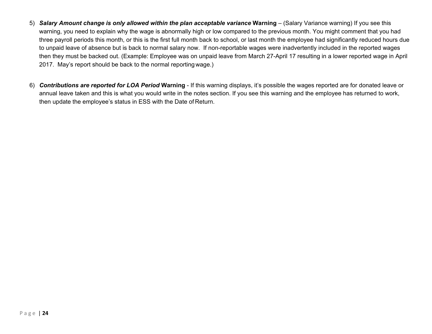- 5) *Salary Amount change is only allowed within the plan acceptable variance* **Warning**  (Salary Variance warning) If you see this warning, you need to explain why the wage is abnormally high or low compared to the previous month. You might comment that you had three payroll periods this month, or this is the first full month back to school, or last month the employee had significantly reduced hours due to unpaid leave of absence but is back to normal salary now. If non-reportable wages were inadvertently included in the reported wages then they must be backed out. (Example: Employee was on unpaid leave from March 27-April 17 resulting in a lower reported wage in April 2017. May's report should be back to the normal reporting wage.)
- 6) *Contributions are reported for LOA Period* **Warning**  If this warning displays, it's possible the wages reported are for donated leave or annual leave taken and this is what you would write in the notes section. If you see this warning and the employee has returned to work, then update the employee's status in ESS with the Date of Return.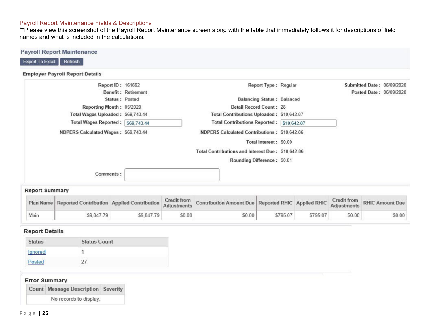#### Payroll Report Maintenance Fields & Descriptions

\*\*Please view this screenshot of the Payroll Report Maintenance screen along with the table that immediately follows it for descriptions of field names and what is included in the calculations.

| <b>Employer Payroll Report Details</b> |                     |                                                   |                            |
|----------------------------------------|---------------------|---------------------------------------------------|----------------------------|
| Report ID: 161692                      |                     | Report Type: Regular                              | Submitted Date: 06/09/2020 |
|                                        | Benefit: Retirement |                                                   | Posted Date: 06/09/2020    |
| Status: Posted                         |                     | <b>Balancing Status: Balanced</b>                 |                            |
| Reporting Month: 05/2020               |                     | Detail Record Count: 28                           |                            |
| Total Wages Uploaded: \$69,743.44      |                     | Total Contributions Uploaded: \$10,642.87         |                            |
| Total Wages Reported: \$69,743.44      |                     | Total Contributions Reported: \$10,642.87         |                            |
| NDPERS Calculated Wages: \$69,743.44   |                     | NDPERS Calculated Contributions: \$10,642.86      |                            |
|                                        |                     | Total Interest: \$0.00                            |                            |
|                                        |                     | Total Contributions and Interest Due: \$10,642.86 |                            |
|                                        |                     | Rounding Difference: \$0.01                       |                            |
| Comments:                              |                     |                                                   |                            |

|      |            |            |        | Plan Name Reported Contribution Applied Contribution Credit from Contribution Amount Due Reported RHIC Applied RHIC Credit from RHIC Amount Due |          |          |        |        |
|------|------------|------------|--------|-------------------------------------------------------------------------------------------------------------------------------------------------|----------|----------|--------|--------|
| Main | \$9,847.79 | \$9,847.79 | \$0.00 | \$0.00                                                                                                                                          | \$795.07 | \$795.07 | \$0.00 | \$0.00 |

## **Report Details**

| <b>Status</b>               | <b>Status Count</b> |  |  |
|-----------------------------|---------------------|--|--|
| gnored                      |                     |  |  |
| osted<br><b>The Charles</b> |                     |  |  |

| <b>Error Summary</b>               |  |
|------------------------------------|--|
| Count Message Description Severity |  |
| No records to display.             |  |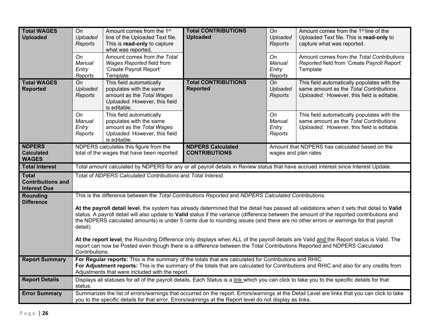| <b>Total WAGES</b><br><b>Uploaded</b>                           | On<br>Uploaded<br>Reports<br>On<br>Manual<br>Entry<br>Reports                                                                                                                                                                                                                                                                                                                                                                                                                                                                                       | Amount comes from the 1 <sup>st</sup><br>line of the Uploaded Text file.<br>This is read-only to capture<br>what was reported.<br>Amount comes from the Total<br>Wages Reported field from<br>'Create Payroll Report'<br>Template | <b>Total CONTRIBUTIONS</b><br><b>Uploaded</b>                                                          | On<br>Uploaded<br>Reports<br>O <sub>n</sub><br><b>Manual</b><br>Entry<br>Reports | Amount comes from the 1 <sup>st</sup> line of the<br>Uploaded Text file. This is read-only to<br>capture what was reported.<br>Amount comes from the Total Contributions<br>Reported field from 'Create Payroll Report'<br>Template |  |  |
|-----------------------------------------------------------------|-----------------------------------------------------------------------------------------------------------------------------------------------------------------------------------------------------------------------------------------------------------------------------------------------------------------------------------------------------------------------------------------------------------------------------------------------------------------------------------------------------------------------------------------------------|-----------------------------------------------------------------------------------------------------------------------------------------------------------------------------------------------------------------------------------|--------------------------------------------------------------------------------------------------------|----------------------------------------------------------------------------------|-------------------------------------------------------------------------------------------------------------------------------------------------------------------------------------------------------------------------------------|--|--|
| <b>Total WAGES</b><br><b>Reported</b>                           | On<br>Uploaded<br>Reports                                                                                                                                                                                                                                                                                                                                                                                                                                                                                                                           | This field automatically<br>populates with the same<br>amount as the Total Wages<br>Uploaded. However, this field<br>is editable.                                                                                                 | <b>Total CONTRIBUTIONS</b><br><b>Reported</b>                                                          | On<br>Uploaded<br>Reports                                                        | This field automatically populates with the<br>same amount as the Total Contributions<br>Uploaded. However, this field is editable.                                                                                                 |  |  |
|                                                                 | On<br>Manual<br>Entry<br>Reports                                                                                                                                                                                                                                                                                                                                                                                                                                                                                                                    | This field automatically<br>populates with the same<br>amount as the Total Wages<br>Uploaded. However, this field<br>is editable.                                                                                                 |                                                                                                        | On<br><b>Manual</b><br>Entry<br>Reports                                          | This field automatically populates with the<br>same amount as the Total Contributions<br>Uploaded. However, this field is editable.                                                                                                 |  |  |
| <b>NDPERS</b><br><b>Calculated</b><br><b>WAGES</b>              |                                                                                                                                                                                                                                                                                                                                                                                                                                                                                                                                                     | NDPERS calculates this figure from the<br>total of the wages that have been reported                                                                                                                                              | <b>NDPERS Calculated</b><br><b>CONTRIBUTIONS</b>                                                       | Amount that NDPERS has calculated based on the<br>wages and plan rates           |                                                                                                                                                                                                                                     |  |  |
| <b>Total Interest</b>                                           |                                                                                                                                                                                                                                                                                                                                                                                                                                                                                                                                                     |                                                                                                                                                                                                                                   |                                                                                                        |                                                                                  | Total amount calculated by NDPERS for any or all payroll details in Review status that have accrued interest since Interest Update.                                                                                                 |  |  |
| <b>Total</b><br><b>Contributions and</b><br><b>Interest Due</b> | Total of NDPERS Calculated Contributions and Total Interest.                                                                                                                                                                                                                                                                                                                                                                                                                                                                                        |                                                                                                                                                                                                                                   |                                                                                                        |                                                                                  |                                                                                                                                                                                                                                     |  |  |
| Rounding<br><b>Difference</b>                                   | This is the difference between the Total Contributions Reported and NDPERS Calculated Contributions.<br>At the payroll detail level, the system has already determined that the detail has passed all validations when it sets that detail to Valid<br>status. A payroll detail will also update to Valid status if the variance (difference between the amount of the reported contributions and<br>the NDPERS calculated amounts) is under 5 cents due to rounding issues (and there are no other errors or warnings for that payroll<br>detail). |                                                                                                                                                                                                                                   |                                                                                                        |                                                                                  |                                                                                                                                                                                                                                     |  |  |
|                                                                 | At the report level, the Rounding Difference only displays when ALL of the payroll details are Valid and the Report status is Valid. The<br>report can now be Posted even though there is a difference between the Total Contributions Reported and NDPERS Calculated<br>Contributions.                                                                                                                                                                                                                                                             |                                                                                                                                                                                                                                   |                                                                                                        |                                                                                  |                                                                                                                                                                                                                                     |  |  |
| <b>Report Summary</b>                                           |                                                                                                                                                                                                                                                                                                                                                                                                                                                                                                                                                     | Adjustments that were included with the report.                                                                                                                                                                                   | For Regular reports: This is the summary of the totals that are calculated for Contributions and RHIC. |                                                                                  | For Adjustment reports: This is the summary of the totals that are calculated for Contributions and RHIC and also for any credits from                                                                                              |  |  |
| <b>Report Details</b>                                           | status.                                                                                                                                                                                                                                                                                                                                                                                                                                                                                                                                             |                                                                                                                                                                                                                                   |                                                                                                        |                                                                                  | Displays all statuses for all of the payroll details. Each Status is a link which you can click to take you to the specific details for that                                                                                        |  |  |
| <b>Error Summary</b>                                            | Summarizes the list of errors/warnings that occurred on the report. Errors/warnings at the Detail Level are links that you can click to take<br>you to the specific details for that error. Errors/warnings at the Report level do not display as links.                                                                                                                                                                                                                                                                                            |                                                                                                                                                                                                                                   |                                                                                                        |                                                                                  |                                                                                                                                                                                                                                     |  |  |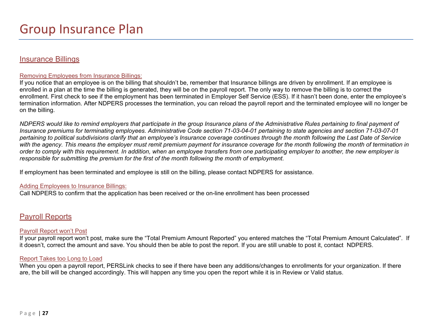## Insurance Billings

#### Removing Employees from Insurance Billings:

If you notice that an employee is on the billing that shouldn't be, remember that Insurance billings are driven by enrollment. If an employee is enrolled in a plan at the time the billing is generated, they will be on the payroll report. The only way to remove the billing is to correct the enrollment. First check to see if the employment has been terminated in Employer Self Service (ESS). If it hasn't been done, enter the employee's termination information. After NDPERS processes the termination, you can reload the payroll report and the terminated employee will no longer be on the billing.

*NDPERS would like to remind employers that participate in the group Insurance plans of the Administrative Rules pertaining to final payment of Insurance premiums for terminating employees. Administrative Code section 71-03-04-01 pertaining to state agencies and section 71-03-07-01 pertaining to political subdivisions clarify that an employee's Insurance coverage continues through the month following the Last Date of Service*  with the agency. This means the employer must remit premium payment for insurance coverage for the month following the month of termination in *order to comply with this requirement. In addition, when an employee transfers from one participating employer to another, the new employer is responsible for submitting the premium for the first of the month following the month of employment.* 

If employment has been terminated and employee is still on the billing, please contact NDPERS for assistance.

#### Adding Employees to Insurance Billings:

Call NDPERS to confirm that the application has been received or the on-line enrollment has been processed

## Payroll Reports

#### Payroll Report won't Post

If your payroll report won't post, make sure the "Total Premium Amount Reported" you entered matches the "Total Premium Amount Calculated". If it doesn't, correct the amount and save. You should then be able to post the report. If you are still unable to post it, contact NDPERS.

#### Report Takes too Long to Load

When you open a payroll report, PERSLink checks to see if there have been any additions/changes to enrollments for your organization. If there are, the bill will be changed accordingly. This will happen any time you open the report while it is in Review or Valid status.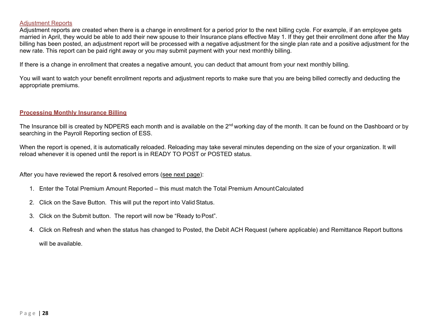#### **Adjustment Reports**

Adjustment reports are created when there is a change in enrollment for a period prior to the next billing cycle. For example, if an employee gets married in April, they would be able to add their new spouse to their Insurance plans effective May 1. If they get their enrollment done after the May billing has been posted, an adjustment report will be processed with a negative adjustment for the single plan rate and a positive adjustment for the new rate. This report can be paid right away or you may submit payment with your next monthly billing.

If there is a change in enrollment that creates a negative amount, you can deduct that amount from your next monthly billing.

You will want to watch your benefit enrollment reports and adjustment reports to make sure that you are being billed correctly and deducting the appropriate premiums.

#### **Processing Monthly Insurance Billing**

The Insurance bill is created by NDPERS each month and is available on the 2<sup>nd</sup> working day of the month. It can be found on the Dashboard or by searching in the Payroll Reporting section of ESS.

When the report is opened, it is automatically reloaded. Reloading may take several minutes depending on the size of your organization. It will reload whenever it is opened until the report is in READY TO POST or POSTED status.

After you have reviewed the report & resolved errors (see next page):

- 1. Enter the Total Premium Amount Reported this must match the Total Premium Amount Calculated
- 2. Click on the Save Button. This will put the report into Valid Status.
- 3. Click on the Submit button. The report will now be "Ready to Post".
- 4. Click on Refresh and when the status has changed to Posted, the Debit ACH Request (where applicable) and Remittance Report buttons will be available.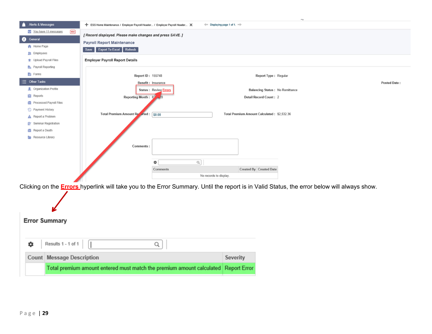

| Results 1 - 1 of 1 $\vert$<br>٠ |                                                                                    |          |  |  |  |  |
|---------------------------------|------------------------------------------------------------------------------------|----------|--|--|--|--|
|                                 | <b>Count Message Description</b>                                                   | Severity |  |  |  |  |
|                                 | Total premium amount entered must match the premium amount calculated Report Error |          |  |  |  |  |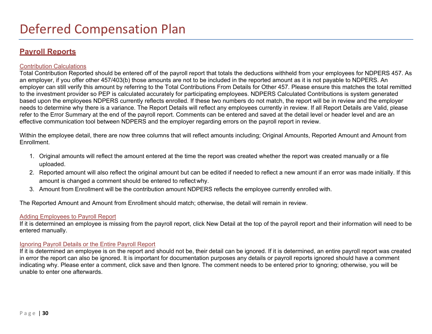## **Payroll Reports**

#### Contribution Calculations

Total Contribution Reported should be entered off of the payroll report that totals the deductions withheld from your employees for NDPERS 457. As an employer, if you offer other 457/403(b) those amounts are not to be included in the reported amount as it is not payable to NDPERS. An employer can still verify this amount by referring to the Total Contributions From Details for Other 457. Please ensure this matches the total remitted to the investment provider so PEP is calculated accurately for participating employees. NDPERS Calculated Contributions is system generated based upon the employees NDPERS currently reflects enrolled. If these two numbers do not match, the report will be in review and the employer needs to determine why there is a variance. The Report Details will reflect any employees currently in review. If all Report Details are Valid, please refer to the Error Summary at the end of the payroll report. Comments can be entered and saved at the detail level or header level and are an effective communication tool between NDPERS and the employer regarding errors on the payroll report in review.

Within the employee detail, there are now three columns that will reflect amounts including; Original Amounts, Reported Amount and Amount from Enrollment.

- 1. Original amounts will reflect the amount entered at the time the report was created whether the report was created manually or a file uploaded.
- 2. Reported amount will also reflect the original amount but can be edited if needed to reflect a new amount if an error was made initially. If this amount is changed a comment should be entered to reflect why.
- 3. Amount from Enrollment will be the contribution amount NDPERS reflects the employee currently enrolled with.

The Reported Amount and Amount from Enrollment should match; otherwise, the detail will remain in review.

#### Adding Employees to Payroll Report

If it is determined an employee is missing from the payroll report, click New Detail at the top of the payroll report and their information will need to be entered manually.

#### Ignoring Payroll Details or the Entire Payroll Report

If it is determined an employee is on the report and should not be, their detail can be ignored. If it is determined, an entire payroll report was created in error the report can also be ignored. It is important for documentation purposes any details or payroll reports ignored should have a comment indicating why. Please enter a comment, click save and then Ignore. The comment needs to be entered prior to ignoring; otherwise, you will be unable to enter one afterwards.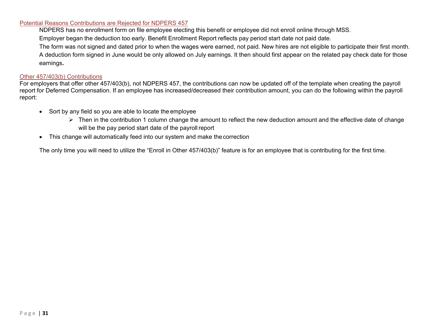#### Potential Reasons Contributions are Rejected for NDPERS 457

NDPERS has no enrollment form on file employee electing this benefit or employee did not enroll online through MSS.

Employer began the deduction too early. Benefit Enrollment Report reflects pay period start date not paid date.

 The form was not signed and dated prior to when the wages were earned, not paid. New hires are not eligible to participate their first month. A deduction form signed in June would be only allowed on July earnings. It then should first appear on the related pay check date for those earnings**.**

#### Other 457/403(b) Contributions

For employers that offer other 457/403(b), not NDPERS 457, the contributions can now be updated off of the template when creating the payroll report for Deferred Compensation. If an employee has increased/decreased their contribution amount, you can do the following within the payroll report:

- Sort by any field so you are able to locate the employee
	- $\triangleright$  Then in the contribution 1 column change the amount to reflect the new deduction amount and the effective date of change will be the pay period start date of the payroll report
- This change will automatically feed into our system and make the correction

The only time you will need to utilize the "Enroll in Other 457/403(b)" feature is for an employee that is contributing for the first time.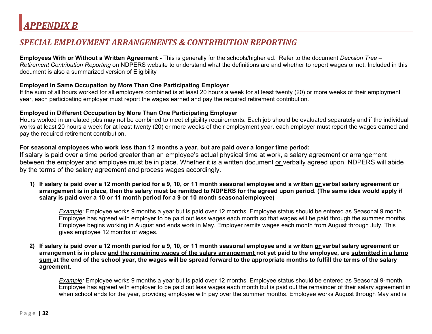## *SPECIAL EMPLOYMENT ARRANGEMENTS & CONTRIBUTION REPORTING*

**Employees With or Without a Written Agreement -** This is generally for the schools/higher ed. Refer to the document *Decision Tree – Retirement Contribution Reporting* on NDPERS website to understand what the definitions are and whether to report wages or not. Included in this document is also a summarized version of Eligibility

#### **Employed in Same Occupation by More Than One Participating Employer**

If the sum of all hours worked for all employers combined is at least 20 hours a week for at least twenty (20) or more weeks of their employment year, each participating employer must report the wages earned and pay the required retirement contribution.

#### **Employed in Different Occupation by More Than One Participating Employer**

Hours worked in unrelated jobs may not be combined to meet eligibility requirements. Each job should be evaluated separately and if the individual works at least 20 hours a week for at least twenty (20) or more weeks of their employment year, each employer must report the wages earned and pay the required retirement contribution.

#### **For seasonal employees who work less than 12 months a year, but are paid over a longer time period:**

If salary is paid over a time period greater than an employee's actual physical time at work, a salary agreement or arrangement between the employer and employee must be in place. Whether it is a written document or verbally agreed upon, NDPERS will abide by the terms of the salary agreement and process wages accordingly.

**1) If salary is paid over a 12 month period for a 9, 10, or 11 month seasonal employee and a written or verbal salary agreement or arrangement is in place, then the salary must be remitted to NDPERS for the agreed upon period. (The same idea would apply if salary is paid over a 10 or 11 month period for a 9 or 10 month seasonal employee)** 

*Example*: Employee works 9 months a year but is paid over 12 months. Employee status should be entered as Seasonal 9 month. Employee has agreed with employer to be paid out less wages each month so that wages will be paid through the summer months. Employee begins working in August and ends work in May. Employer remits wages each month from August through July. This gives employee 12 months of wages.

**2) If salary is paid over a 12 month period for a 9, 10, or 11 month seasonal employee and a written or verbal salary agreement or arrangement is in place and the remaining wages of the salary arrangement not yet paid to the employee, are submitted in a lump sum at the end of the school year, the wages will be spread forward to the appropriate months to fulfill the terms of the salary agreement.** 

*Example:* Employee works 9 months a year but is paid over 12 months. Employee status should be entered as Seasonal 9-month. Employee has agreed with employer to be paid out less wages each month but is paid out the remainder of their salary agreement in when school ends for the year, providing employee with pay over the summer months. Employee works August through May and is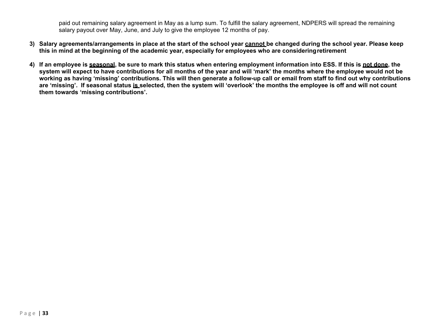paid out remaining salary agreement in May as a lump sum. To fulfill the salary agreement, NDPERS will spread the remaining salary payout over May, June, and July to give the employee 12 months of pay.

- **3) Salary agreements/arrangements in place at the start of the school year cannot be changed during the school year. Please keep this in mind at the beginning of the academic year, especially for employees who are considering retirement**
- **4) If an employee is seasonal, be sure to mark this status when entering employment information into ESS. If this is not done, the system will expect to have contributions for all months of the year and will 'mark' the months where the employee would not be working as having 'missing' contributions. This will then generate a follow-up call or email from staff to find out why contributions are 'missing'. If seasonal status is selected, then the system will 'overlook' the months the employee is off and will not count them towards 'missing contributions'.**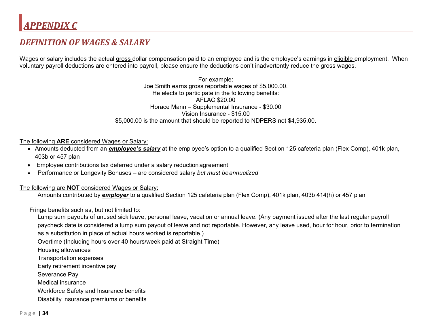## *DEFINITION OF WAGES & SALARY*

Wages or salary includes the actual gross dollar compensation paid to an employee and is the employee's earnings in eligible employment. When voluntary payroll deductions are entered into payroll, please ensure the deductions don't inadvertently reduce the gross wages.

> For example: Joe Smith earns gross reportable wages of \$5,000.00. He elects to participate in the following benefits: AFLAC \$20.00 Horace Mann – Supplemental Insurance - \$30.00 Vision Insurance - \$15.00 \$5,000.00 is the amount that should be reported to NDPERS not \$4,935.00.

#### The following **ARE** considered Wages or Salary:

- Amounts deducted from an *employee's salary* at the employee's option to a qualified Section 125 cafeteria plan (Flex Comp), 401k plan, 403b or 457 plan
- Employee contributions tax deferred under a salary reduction agreement
- 0 Performance or Longevity Bonuses – are considered salary *but must be annualized*

The following are **NOT** considered Wages or Salary:

Amounts contributed by *employer* to a qualified Section 125 cafeteria plan (Flex Comp), 401k plan, 403b 414(h) or 457 plan

Fringe benefits such as, but not limited to:

 Lump sum payouts of unused sick leave, personal leave, vacation or annual leave. (Any payment issued after the last regular payroll paycheck date is considered a lump sum payout of leave and not reportable. However, any leave used, hour for hour, prior to termination as a substitution in place of actual hours worked is reportable.)

Overtime (Including hours over 40 hours/week paid at Straight Time)

Housing allowances

Transportation expenses

Early retirement incentive pay

Severance Pay

Medical insurance

Workforce Safety and Insurance benefits

Disability insurance premiums or benefits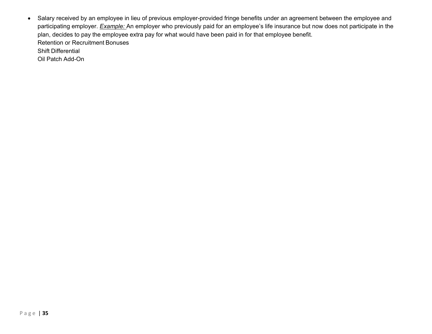Salary received by an employee in lieu of previous employer-provided fringe benefits under an agreement between the employee and participating employer. *Example:* An employer who previously paid for an employee's life insurance but now does not participate in the plan, decides to pay the employee extra pay for what would have been paid in for that employee benefit. Retention or Recruitment BonusesShift Differential

Oil Patch Add-On